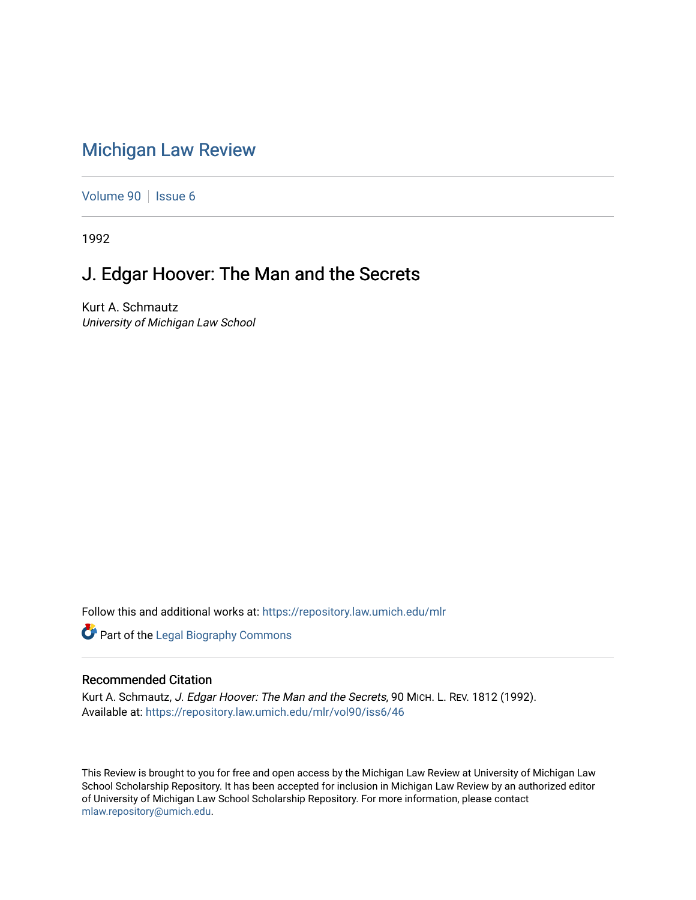## [Michigan Law Review](https://repository.law.umich.edu/mlr)

[Volume 90](https://repository.law.umich.edu/mlr/vol90) | [Issue 6](https://repository.law.umich.edu/mlr/vol90/iss6)

1992

## J. Edgar Hoover: The Man and the Secrets

Kurt A. Schmautz University of Michigan Law School

Follow this and additional works at: [https://repository.law.umich.edu/mlr](https://repository.law.umich.edu/mlr?utm_source=repository.law.umich.edu%2Fmlr%2Fvol90%2Fiss6%2F46&utm_medium=PDF&utm_campaign=PDFCoverPages) 

**Part of the Legal Biography Commons** 

## Recommended Citation

Kurt A. Schmautz, J. Edgar Hoover: The Man and the Secrets, 90 MICH. L. REV. 1812 (1992). Available at: [https://repository.law.umich.edu/mlr/vol90/iss6/46](https://repository.law.umich.edu/mlr/vol90/iss6/46?utm_source=repository.law.umich.edu%2Fmlr%2Fvol90%2Fiss6%2F46&utm_medium=PDF&utm_campaign=PDFCoverPages) 

This Review is brought to you for free and open access by the Michigan Law Review at University of Michigan Law School Scholarship Repository. It has been accepted for inclusion in Michigan Law Review by an authorized editor of University of Michigan Law School Scholarship Repository. For more information, please contact [mlaw.repository@umich.edu.](mailto:mlaw.repository@umich.edu)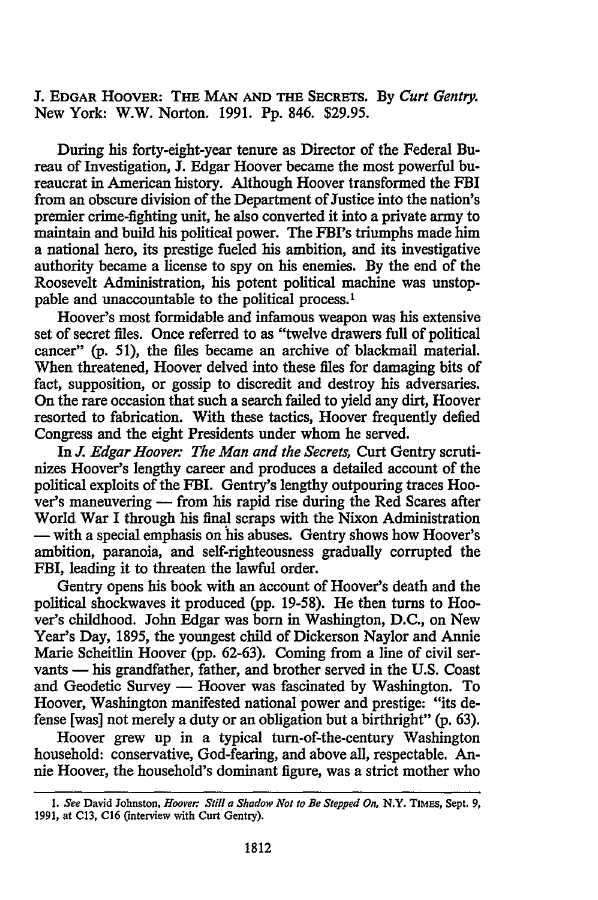J. EDGAR HOOVER: THE MAN AND THE SECRETS. By *Curt Gentry.*  New York: W.W. Norton. 1991. Pp. 846. \$29.95.

During his forty-eight-year tenure as Director of the Federal Bureau of Investigation, J. Edgar Hoover became the most powerful bureaucrat in American history. Although Hoover transformed the FBI from an obscure division of the Department of Justice into the nation's premier crime-fighting unit, he also converted it into a private army to maintain and build his political power. The FBl's triumphs made him a national hero, its prestige fueled his ambition, and its investigative authority became a license to spy on his enemies. By the end of the Roosevelt Administration, his potent political machine was unstoppable and unaccountable to the political process. <sup>1</sup>

Hoover's most formidable and infamous weapon was his extensive set of secret files. Once referred to as "twelve drawers full of political cancer" (p. 51), the files became an archive of blackmail material. When threatened, Hoover delved into these files for damaging bits of fact, supposition, or gossip to discredit and destroy his adversaries. On the rare occasion that such a search failed to yield any dirt, Hoover resorted to fabrication. With these tactics, Hoover frequently defied Congress and the eight Presidents under whom he served.

In *J. Edgar Hoover: The Man and the Secrets,* Curt Gentry scrutinizes Hoover's lengthy career and produces a detailed account of the political exploits of the FBI. Gentry's lengthy outpouring traces Hoover's maneuvering - from his rapid rise during the Red Scares after World War I through his final scraps with the Nixon Administration - with a special emphasis on his abuses. Gentry shows how Hoover's ambition, paranoia, and self-righteousness gradually corrupted the FBI, leading it to threaten the lawful order.

Gentry opens his book with an account of Hoover's death and the political shockwaves it produced (pp. 19-58). He then turns to Hoover's childhood. John Edgar was born in Washington, D.C., on New Year's Day, 1895, the youngest child of Dickerson Naylor and Annie Marie Scheitlin Hoover (pp. 62-63). Coming from a line of civil servants - his grandfather, father, and brother served in the U.S. Coast and Geodetic Survey - Hoover was fascinated by Washington. To Hoover, Washington manifested national power and prestige: "its defense [was] not merely a duty or an obligation but a birthright" (p. 63).

Hoover grew up in a typical tum-of-the-century Washington household: conservative, God-fearing, and above all, respectable. Annie Hoover, the household's dominant figure, was a strict mother who

<sup>1.</sup> *See* David Johnston, *Hoover: Still a Shadow Not to Be Stepped On,* N.Y. TIMES, Sept. 9, 1991, at Cl3, Cl6 (interview with Curt Gentry).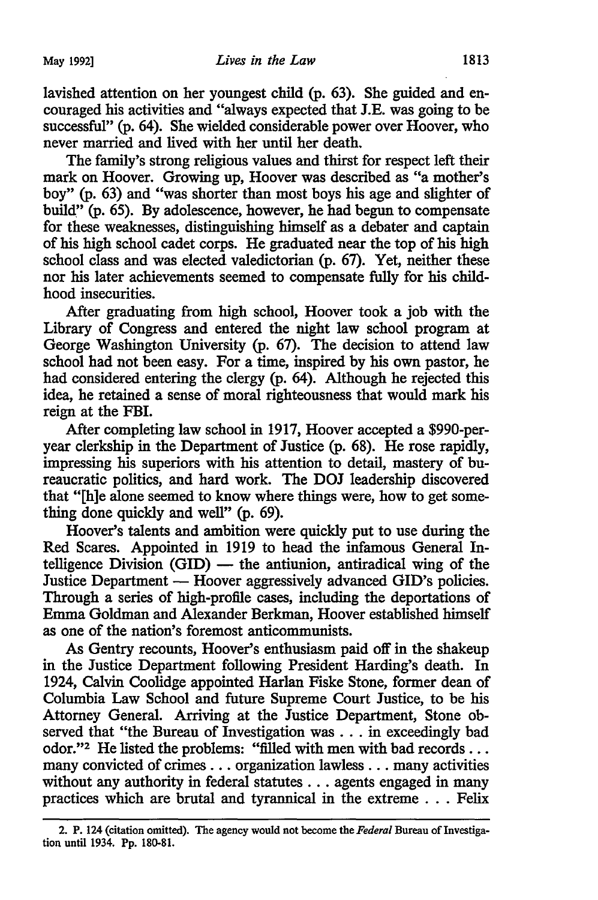lavished attention on her youngest child (p. 63). She guided and encouraged his activities and "always expected that J.E. was going to be successful" (p. 64). She wielded considerable power over Hoover, who never married and lived with her until her death.

The family's strong religious values and thirst for respect left their mark on Hoover. Growing up, Hoover was described as "a mother's boy" {p. 63) and "was shorter than most boys his age and slighter of build" (p. 65). By adolescence, however, he had begun to compensate for these weaknesses, distinguishing himself as a debater and captain of his high school cadet corps. He graduated near the top of his high school class and was elected valedictorian {p. 67). Yet, neither these nor his later achievements seemed to compensate fully for his childhood insecurities.

After graduating from high school, Hoover took a job with the Library of Congress and entered the night law school program at George Washington University {p. 67). The decision to attend law school had not been easy. For a time, inspired by his own pastor, he had considered entering the clergy (p. 64). Although he rejected this idea, he retained a sense of moral righteousness that would mark his reign at the FBI.

After completing law school in 1917, Hoover accepted a \$990-peryear clerkship in the Department of Justice (p. 68). He rose rapidly, impressing his superiors with his attention to detail, mastery of bureaucratic politics, and hard work. The DOJ leadership discovered that "[h]e alone seemed to know where things were, how to get something done quickly and well" (p. 69).

Hoover's talents and ambition were quickly put to use during the Red Scares. Appointed in 1919 to head the infamous General Intelligence Division  $(GID)$  — the antiunion, antiradical wing of the Justice Department — Hoover aggressively advanced GID's policies. Through a series of high-profile cases, including the deportations of Emma Goldman and Alexander Berkman, Hoover established himself as one of the nation's foremost anticommunists.

As Gentry recounts, Hoover's enthusiasm paid off in the shakeup in the Justice Department following President Harding's death. In 1924, Calvin Coolidge appointed Harlan Fiske Stone, former dean of Columbia Law School and future Supreme Court Justice, to be his Attorney General. Arriving at the Justice Department, Stone observed that "the Bureau of Investigation was . . . in exceedingly bad odor."2 He listed the problems: "filled with men with bad records ... many convicted of crimes ... organization lawless ... many activities without any authority in federal statutes ... agents engaged in many practices which are brutal and tyrannical in the extreme . . . Felix

<sup>2.</sup> P. 124 (citation omitted). The agency would not become the *Federal* Bureau of Investigation until 1934. Pp. 180-81.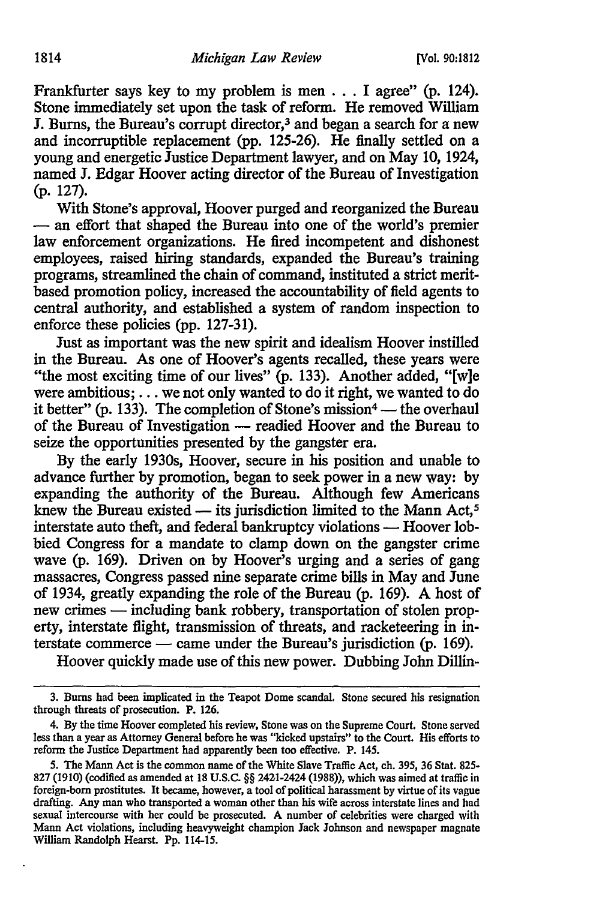Frankfurter says key to my problem is men  $\ldots$  I agree" (p. 124). Stone immediately set upon the task of reform. He removed William J. Burns, the Bureau's corrupt director,3 and began a search for a new and incorruptible replacement (pp. 125-26). He finally settled on a young and energetic Justice Department lawyer, and on May 10, 1924, named J. Edgar Hoover acting director of the Bureau of Investigation (p. 127).

With Stone's approval, Hoover purged and reorganized the Bureau - an effort that shaped the Bureau into one of the world's premier law enforcement organizations. He fired incompetent and dishonest employees, raised hiring standards, expanded the Bureau's training programs, streamlined the chain of command, instituted a strict meritbased promotion policy, increased the accountability of field agents to central authority, and established a system of random inspection to enforce these policies (pp. 127-31).

Just as important was the new spirit and idealism Hoover instilled in the Bureau. As one of Hoover's agents recalled, these years were "the most exciting time of our lives" (p. 133). Another added, "[w]e were ambitious; ... we not only wanted to do it right, we wanted to do it better" (p. 133). The completion of Stone's mission<sup>4</sup> - the overhaul of the Bureau of Investigation - readied Hoover and the Bureau to seize the opportunities presented by the gangster era.

By the early 1930s, Hoover, secure in his position and unable to advance further by promotion, began to seek power in a new way: by expanding the authority of the Bureau. Although few Americans knew the Bureau existed - its jurisdiction limited to the Mann Act,<sup>5</sup> interstate auto theft, and federal bankruptcy violations - Hoover lobbied Congress for a mandate to clamp down on the gangster crime wave (p. 169). Driven on by Hoover's urging and a series of gang massacres, Congress passed nine separate crime bills in May and June of 1934, greatly expanding the role of the Bureau (p. 169). A host of new crimes — including bank robbery, transportation of stolen property, interstate flight, transmission of threats, and racketeering in interstate commerce — came under the Bureau's jurisdiction  $(p. 169)$ .

Hoover quickly made use of this new power. Dubbing John Dillin-

<sup>3.</sup> Burns had been implicated in the Teapot Dome scandal. Stone secured his resignation through threats of prosecution. P. 126.

<sup>4.</sup> By the time Hoover completed his review, Stone was on the Supreme Court. Stone served less than a year as Attorney General before he was "kicked upstairs" to the Court. His efforts to reform the Justice Department had apparently been too effective. P. 145.

<sup>5.</sup> The Mann Act is the common name of the White Slave Traffic Act, ch. 395, 36 Stat. 825- 827 (1910) (codified as amended at 18 U.S.C. §§ 2421-2424 (1988)), which was aimed at traffic in foreign-born prostitutes. It became, however, a tool of political harassment by virtue of its vague drafting. Any man who transported a woman other than his wife across interstate lines and had sexual intercourse with her could be prosecuted. A number of celebrities were charged with Mann Act violations, including heavyweight champion Jack Johnson and newspaper magnate William Randolph Hearst. Pp. 114-15.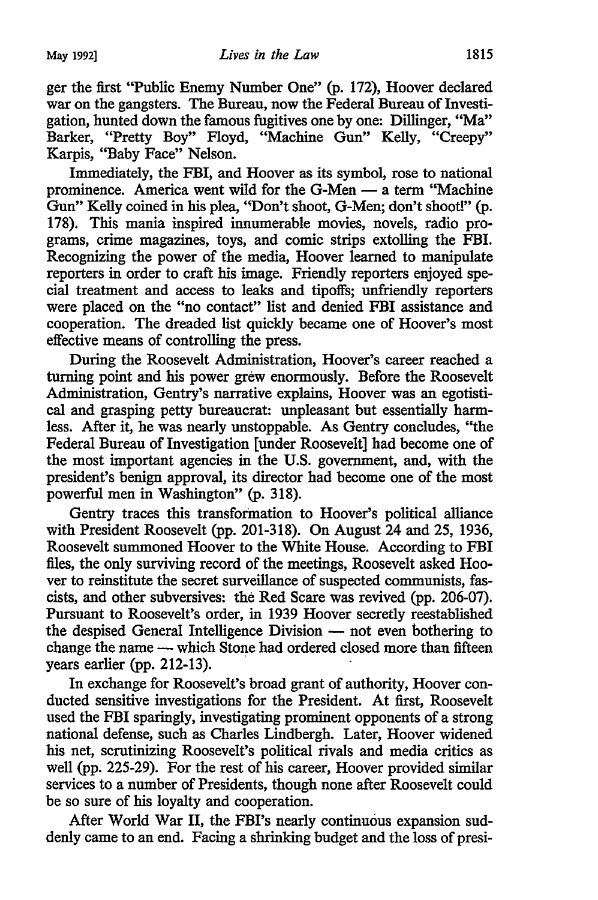ger the first "Public Enemy Number One" (p. 172), Hoover declared war on the gangsters. The Bureau, now the Federal Bureau of Investigation, hunted down the famous fugitives one by one: Dillinger, "Ma" Barker, "Pretty Boy" Floyd, "Machine Gun" Kelly, "Creepy" Karpis, "Baby Face" Nelson.

Immediately, the FBI, and Hoover as its symbol, rose to national prominence. America went wild for the G-Men - a term "Machine Gun" Kelly coined in his plea, ''Don't shoot, G-Men; don't shoot!" (p. 178). This mania inspired innumerable movies, novels, radio programs, crime magazines, toys, and comic strips extolling the FBI. Recognizing the power of the media, Hoover learned to manipulate reporters in order to craft his image. Friendly reporters enjoyed special treatment and access to leaks and tipoffs; unfriendly reporters were placed on the "no contact" list and denied FBI assistance and cooperation. The dreaded list quickly became one of Hoover's most effective means of controlling the press.

During the Roosevelt Administration, Hoover's career reached a turning point and his power grew enormously. Before the Roosevelt Administration, Gentry's narrative explains, Hoover was an egotistical and grasping petty bureaucrat: unpleasant but essentially harmless. After it, he was nearly unstoppable. As Gentry concludes, "the Federal Bureau of Investigation [under Roosevelt] had become one of the most important agencies in the U.S. government, and, with the president's benign approval, its director had become one of the most powerful men in Washington" (p. 318).

Gentry traces this transformation to Hoover's political alliance with President Roosevelt (pp. 201-318). On August 24 and 25, 1936, Roosevelt summoned Hoover to the White House. According to FBI files, the only surviving record of the meetings, Roosevelt asked Hoover to reinstitute the secret surveillance of suspected communists, fascists, and other subversives: the Red Scare was revived (pp. 206-07). Pursuant to Roosevelt's order, in 1939 Hoover secretly reestablished the despised General Intelligence Division - not even bothering to change the name — which Stone had ordered closed more than fifteen years earlier (pp. 212-13).

In exchange for Roosevelt's broad grant of authority, Hoover conducted sensitive investigations for the President. At first, Roosevelt used the FBI sparingly, investigating prominent opponents of a strong national defense, such as Charles Lindbergh. Later, Hoover widened his net, scrutinizing Roosevelt's political rivals and media critics as well (pp. 225-29). For the rest of his career, Hoover provided similar services to a number of Presidents, though none after Roosevelt could be so sure of his loyalty and cooperation.

After World War II, the FBI's nearly continuous expansion suddenly came to an end. Facing a shrinking budget and the loss of presi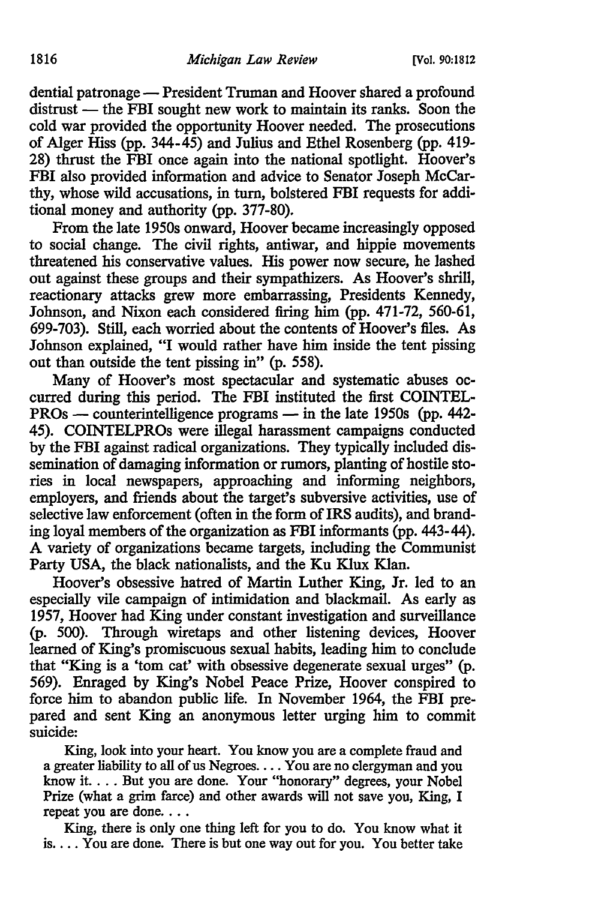dential patronage - President Truman and Hoover shared a profound distrust — the FBI sought new work to maintain its ranks. Soon the cold war provided the opportunity Hoover needed. The prosecutions of Alger Hiss (pp.  $344-\hat{45}$ ) and Julius and Ethel Rosenberg (pp. 419-28) thrust the FBI once again into the national spotlight. Hoover's FBI also provided information and advice to Senator Joseph McCarthy, whose wild accusations, in turn, bolstered FBI requests for additional money and authority (pp. 377-80).

From the late 1950s onward, Hoover became increasingly opposed to social change. The civil rights, antiwar, and hippie movements threatened his conservative values. His power now secure, he lashed out against these groups and their sympathizers. As Hoover's shrill, reactionary attacks grew more embarrassing, Presidents Kennedy, Johnson, and Nixon each considered firing him (pp. 471-72, 560-61, 699-703). Still, each worried about the contents of Hoover's files. As Johnson explained, "I would rather have him inside the tent pissing out than outside the tent pissing in" (p. 558).

Many of Hoover's most spectacular and systematic abuses occurred during this period. The FBI instituted the first COINTEL-PROs — counterintelligence programs — in the late 1950s (pp. 442-45). COINTELPROs were illegal harassment campaigns conducted by the FBI against radical organizations. They typically included dissemination of damaging information or rumors, planting of hostile stories in local newspapers, approaching and informing neighbors, employers, and friends about the target's subversive activities, use of selective law enforcement (often in the form of IRS audits), and branding loyal members of the organization as FBI informants (pp. 443-44). A variety of organizations became targets, including the Communist Party USA, the black nationalists, and the Ku Klux Klan.

Hoover's obsessive hatred of Martin Luther King, Jr. led to an especially vile campaign of intimidation and blackmail. As early as 1957, Hoover had King under constant investigation and surveillance (p. 500). Through wiretaps and other listening devices, Hoover learned of King's promiscuous sexual habits, leading him to conclude that "King is a 'tom cat' with obsessive degenerate sexual urges" (p. 569). Enraged by King's Nobel Peace Prize, Hoover conspired to force him to abandon public life. In November 1964, the FBI prepared and sent King an anonymous letter urging him to commit suicide:

King, look into your heart. You know you are a complete fraud and a greater liability to all of us Negroes .... You are no clergyman and you know it .... But you are done. Your "honorary" degrees, your Nobel Prize (what a grim farce) and other awards will not save you, King, I repeat you are done....

King, there is only one thing left for you to do. You know what it is.... You are done. There is but one way out for you. You better take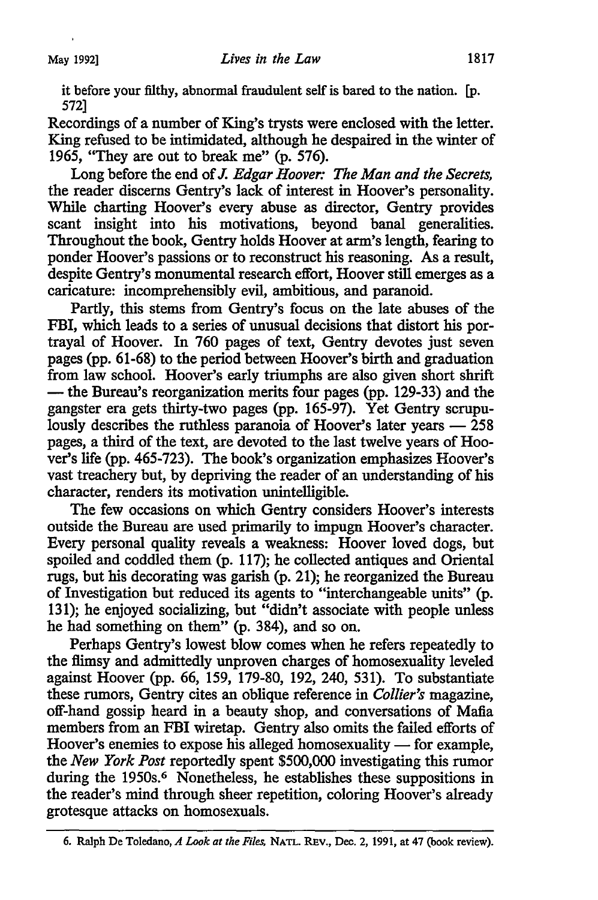it before your filthy, abnormal fraudulent self is bared to the nation. [p. 572]

Recordings of a number of King's trysts were enclosed with the letter. King refused to be intimidated, although he despaired in the winter of 1965, "They are out to break me" (p. 576).

Long before the end of *J. Edgar Hoover: The Man and the Secrets,*  the reader discerns Gentry's lack of interest in Hoover's personality. While charting Hoover's every abuse as director, Gentry provides scant insight into his motivations, beyond banal generalities. Throughout the book, Gentry holds Hoover at arm's length, fearing to ponder Hoover's passions or to reconstruct his reasoning. As a result, despite Gentry's monumental research effort, Hoover still emerges as a caricature: incomprehensibly evil, ambitious, and paranoid.

Partly, this stems from Gentry's focus on the late abuses of the FBI, which leads to a series of unusual decisions that distort his portrayal of Hoover. In 760 pages of text, Gentry devotes just seven pages (pp. 61-68) to the period between Hoover's birth and graduation from law school. Hoover's early triumphs are also given short shrift - the Bureau's reorganization merits four pages (pp. 129-33) and the gangster era gets thirty-two pages (pp. 165-97). Yet Gentry scrupulously describes the ruthless paranoia of Hoover's later years  $-258$ pages, a third of the text, are devoted to the last twelve years of Hoover's life (pp. 465-723). The book's organization emphasizes Hoover's vast treachery but, by depriving the reader of an understanding of his character, renders its motivation unintelligible.

The few occasions on which Gentry considers Hoover's interests outside the Bureau are used primarily to impugn Hoover's character. Every personal quality reveals a weakness: Hoover loved dogs, but spoiled and coddled them (p. 117); he collected antiques and Oriental rugs, but his decorating was garish (p. 21 ); he reorganized the Bureau of Investigation but reduced its agents to "interchangeable units" (p. 131); he enjoyed socializing, but "didn't associate with people unless he had something on them" (p. 384), and so on.

Perhaps Gentry's lowest blow comes when he refers repeatedly to the flimsy and admittedly unproven charges of homosexuality leveled against Hoover (pp. 66, 159, 179-80, 192, 240, 531). To substantiate these rumors, Gentry cites an oblique reference in *Collier's* magazine, off-hand gossip heard in a beauty shop, and conversations of Mafia members from an FBI wiretap. Gentry also omits the failed efforts of Hoover's enemies to expose his alleged homosexuality  $-$  for example, the *New York Post* reportedly spent \$500,000 investigating this rumor during the 1950s.<sup>6</sup> Nonetheless, he establishes these suppositions in the reader's mind through sheer repetition, coloring Hoover's already grotesque attacks on homosexuals.

<sup>6.</sup> Ralph De Toledano, *A Look at the Files,* NATL. REv., Dec. 2, 1991, at 47 (book review).